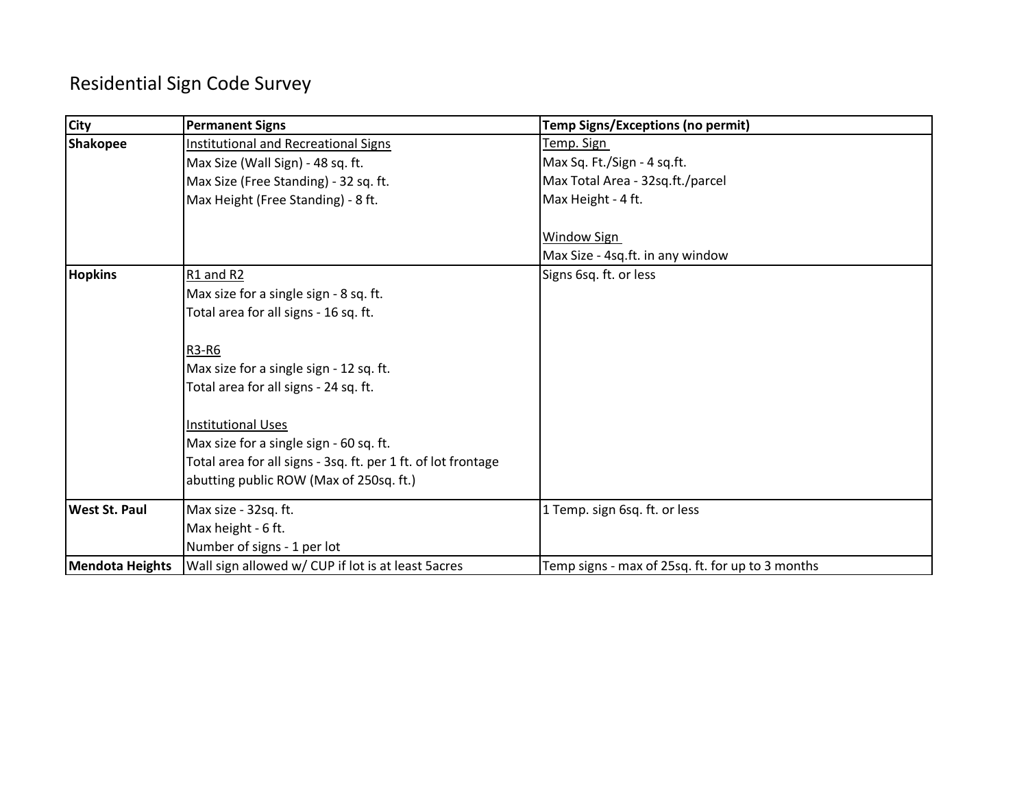## Residential Sign Code Survey

| <b>City</b>            | <b>Permanent Signs</b>                                        | <b>Temp Signs/Exceptions (no permit)</b>         |
|------------------------|---------------------------------------------------------------|--------------------------------------------------|
| <b>Shakopee</b>        | <b>Institutional and Recreational Signs</b>                   | Temp. Sign                                       |
|                        | Max Size (Wall Sign) - 48 sq. ft.                             | Max Sq. Ft./Sign - 4 sq.ft.                      |
|                        | Max Size (Free Standing) - 32 sq. ft.                         | Max Total Area - 32sq.ft./parcel                 |
|                        | Max Height (Free Standing) - 8 ft.                            | Max Height - 4 ft.                               |
|                        |                                                               | <b>Window Sign</b>                               |
|                        |                                                               | Max Size - 4sq.ft. in any window                 |
| <b>Hopkins</b>         | R1 and R2                                                     | Signs 6sq. ft. or less                           |
|                        | Max size for a single sign - 8 sq. ft.                        |                                                  |
|                        | Total area for all signs - 16 sq. ft.                         |                                                  |
|                        | R3-R6                                                         |                                                  |
|                        | Max size for a single sign - 12 sq. ft.                       |                                                  |
|                        | Total area for all signs - 24 sq. ft.                         |                                                  |
|                        | <b>Institutional Uses</b>                                     |                                                  |
|                        | Max size for a single sign - 60 sq. ft.                       |                                                  |
|                        | Total area for all signs - 3sq. ft. per 1 ft. of lot frontage |                                                  |
|                        | abutting public ROW (Max of 250sq. ft.)                       |                                                  |
| West St. Paul          | Max size - 32sq. ft.                                          | 1 Temp. sign 6sq. ft. or less                    |
|                        | Max height - 6 ft.                                            |                                                  |
|                        | Number of signs - 1 per lot                                   |                                                  |
| <b>Mendota Heights</b> | Wall sign allowed w/ CUP if lot is at least 5 acres           | Temp signs - max of 25sq. ft. for up to 3 months |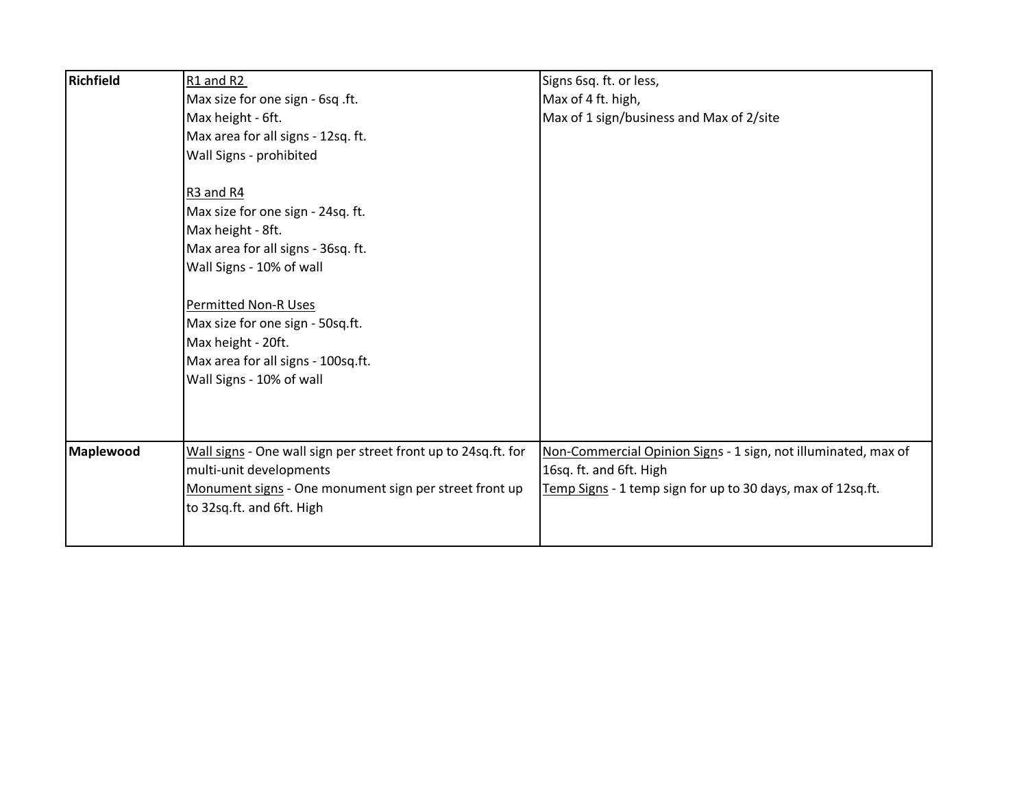| Richfield        | R <sub>1</sub> and R <sub>2</sub><br>Max size for one sign - 6sq .ft.<br>Max height - 6ft.<br>Max area for all signs - 12sq. ft.<br>Wall Signs - prohibited<br>R3 and R4<br>Max size for one sign - 24sq. ft.<br>Max height - 8ft. | Signs 6sq. ft. or less,<br>Max of 4 ft. high,<br>Max of 1 sign/business and Max of 2/site                                                                |
|------------------|------------------------------------------------------------------------------------------------------------------------------------------------------------------------------------------------------------------------------------|----------------------------------------------------------------------------------------------------------------------------------------------------------|
|                  | Max area for all signs - 36sq. ft.<br>Wall Signs - 10% of wall<br><b>Permitted Non-R Uses</b><br>Max size for one sign - 50sq.ft.<br>Max height - 20ft.<br>Max area for all signs - 100sq.ft.<br>Wall Signs - 10% of wall          |                                                                                                                                                          |
| <b>Maplewood</b> | Wall signs - One wall sign per street front up to 24sq.ft. for<br>multi-unit developments<br>Monument signs - One monument sign per street front up<br>to 32sq.ft. and 6ft. High                                                   | Non-Commercial Opinion Signs - 1 sign, not illuminated, max of<br>16sq. ft. and 6ft. High<br>Temp Signs - 1 temp sign for up to 30 days, max of 12sq.ft. |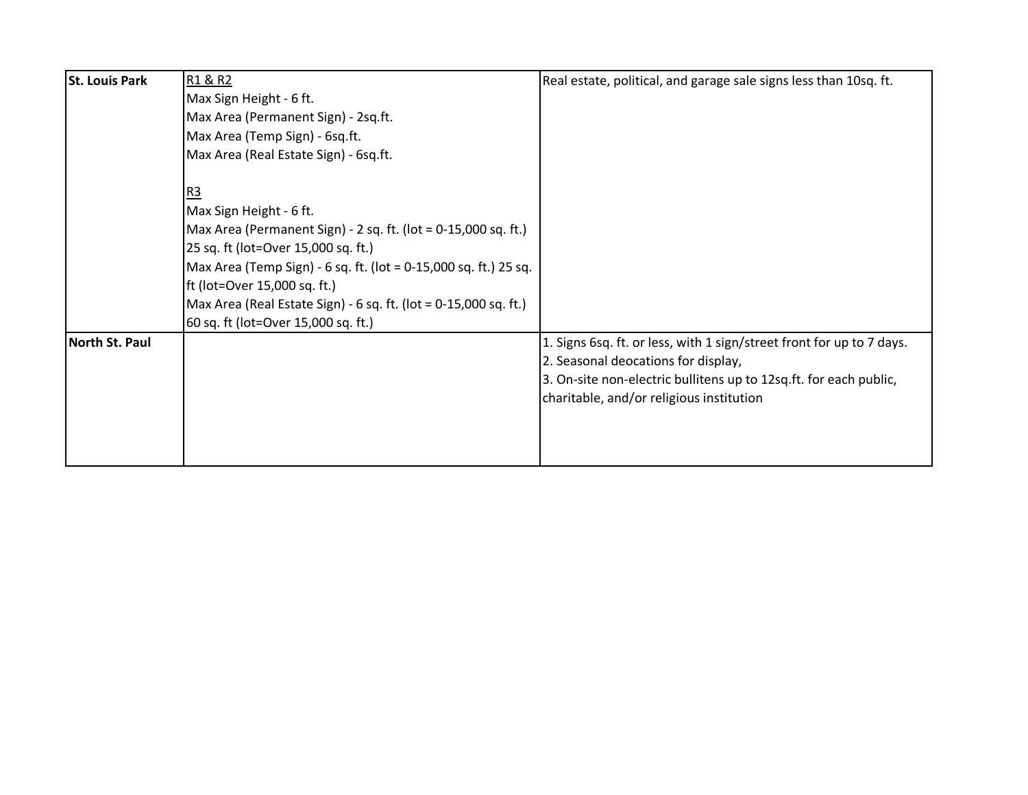| <b>St. Louis Park</b> | R1 & R2                                                          | Real estate, political, and garage sale signs less than 10sq. ft.     |
|-----------------------|------------------------------------------------------------------|-----------------------------------------------------------------------|
|                       | Max Sign Height - 6 ft.                                          |                                                                       |
|                       | Max Area (Permanent Sign) - 2sq.ft.                              |                                                                       |
|                       | Max Area (Temp Sign) - 6sq.ft.                                   |                                                                       |
|                       | Max Area (Real Estate Sign) - 6sq.ft.                            |                                                                       |
|                       | R <sub>3</sub>                                                   |                                                                       |
|                       | Max Sign Height - 6 ft.                                          |                                                                       |
|                       | Max Area (Permanent Sign) - 2 sq. ft. (lot = 0-15,000 sq. ft.)   |                                                                       |
|                       | 25 sq. ft (lot=Over 15,000 sq. ft.)                              |                                                                       |
|                       | Max Area (Temp Sign) - 6 sq. ft. (lot = 0-15,000 sq. ft.) 25 sq. |                                                                       |
|                       | ft (lot=Over 15,000 sq. ft.)                                     |                                                                       |
|                       | Max Area (Real Estate Sign) - 6 sq. ft. (lot = 0-15,000 sq. ft.) |                                                                       |
|                       | 60 sq. ft (lot=Over 15,000 sq. ft.)                              |                                                                       |
| North St. Paul        |                                                                  | 1. Signs 6sq. ft. or less, with 1 sign/street front for up to 7 days. |
|                       |                                                                  | 2. Seasonal deocations for display,                                   |
|                       |                                                                  | 3. On-site non-electric bullitens up to 12sq.ft. for each public,     |
|                       |                                                                  | charitable, and/or religious institution                              |
|                       |                                                                  |                                                                       |
|                       |                                                                  |                                                                       |
|                       |                                                                  |                                                                       |